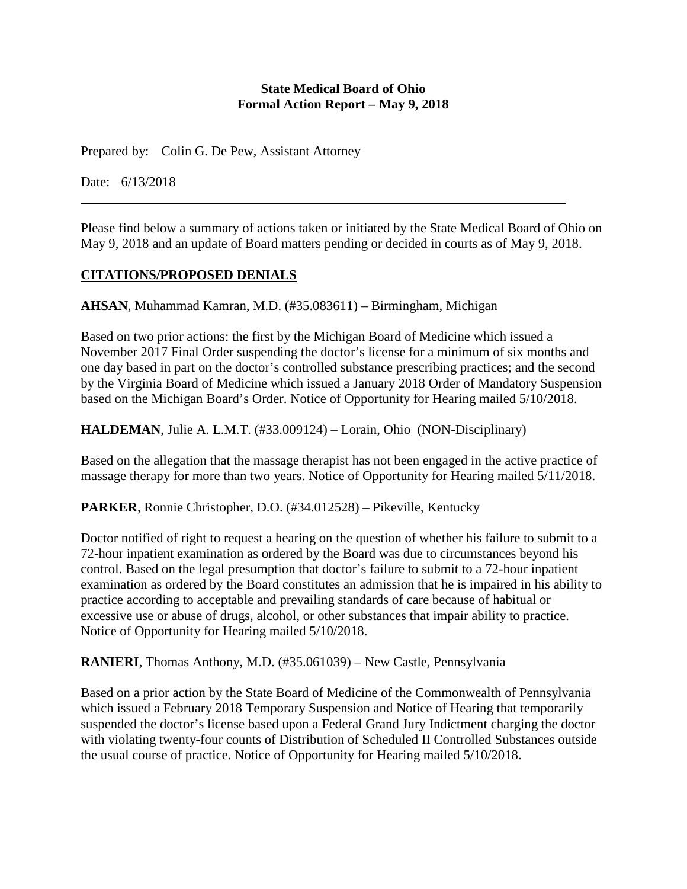#### **State Medical Board of Ohio Formal Action Report – May 9, 2018**

Prepared by: Colin G. De Pew, Assistant Attorney

Date: 6/13/2018

Please find below a summary of actions taken or initiated by the State Medical Board of Ohio on May 9, 2018 and an update of Board matters pending or decided in courts as of May 9, 2018.

## **CITATIONS/PROPOSED DENIALS**

**AHSAN**, Muhammad Kamran, M.D. (#35.083611) – Birmingham, Michigan

Based on two prior actions: the first by the Michigan Board of Medicine which issued a November 2017 Final Order suspending the doctor's license for a minimum of six months and one day based in part on the doctor's controlled substance prescribing practices; and the second by the Virginia Board of Medicine which issued a January 2018 Order of Mandatory Suspension based on the Michigan Board's Order. Notice of Opportunity for Hearing mailed 5/10/2018.

**HALDEMAN**, Julie A. L.M.T. (#33.009124) – Lorain, Ohio (NON-Disciplinary)

Based on the allegation that the massage therapist has not been engaged in the active practice of massage therapy for more than two years. Notice of Opportunity for Hearing mailed 5/11/2018.

**PARKER**, Ronnie Christopher, D.O. (#34.012528) – Pikeville, Kentucky

Doctor notified of right to request a hearing on the question of whether his failure to submit to a 72-hour inpatient examination as ordered by the Board was due to circumstances beyond his control. Based on the legal presumption that doctor's failure to submit to a 72-hour inpatient examination as ordered by the Board constitutes an admission that he is impaired in his ability to practice according to acceptable and prevailing standards of care because of habitual or excessive use or abuse of drugs, alcohol, or other substances that impair ability to practice. Notice of Opportunity for Hearing mailed 5/10/2018.

**RANIERI**, Thomas Anthony, M.D. (#35.061039) – New Castle, Pennsylvania

Based on a prior action by the State Board of Medicine of the Commonwealth of Pennsylvania which issued a February 2018 Temporary Suspension and Notice of Hearing that temporarily suspended the doctor's license based upon a Federal Grand Jury Indictment charging the doctor with violating twenty-four counts of Distribution of Scheduled II Controlled Substances outside the usual course of practice. Notice of Opportunity for Hearing mailed 5/10/2018.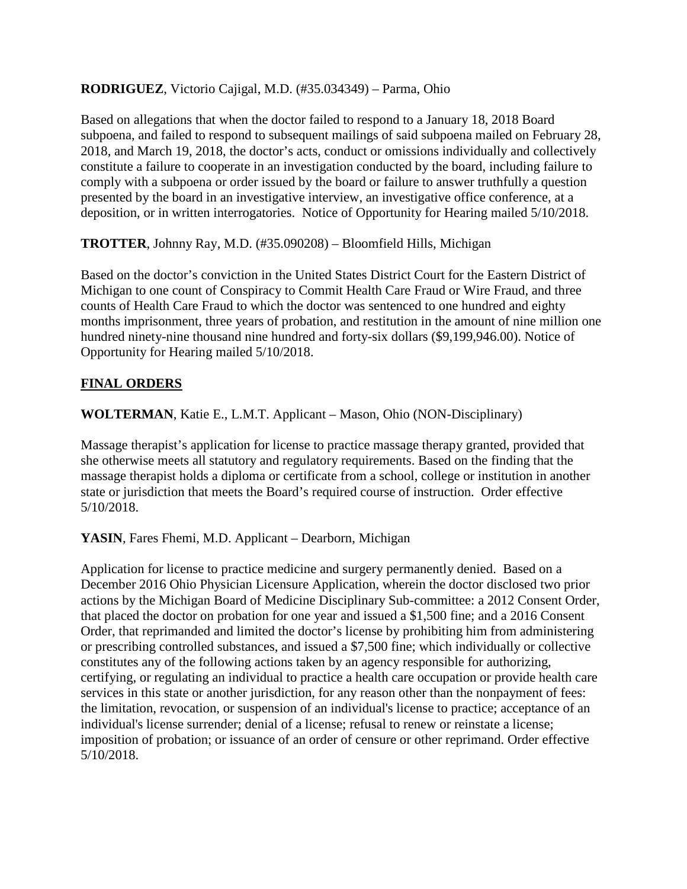### **RODRIGUEZ**, Victorio Cajigal, M.D. (#35.034349) – Parma, Ohio

Based on allegations that when the doctor failed to respond to a January 18, 2018 Board subpoena, and failed to respond to subsequent mailings of said subpoena mailed on February 28, 2018, and March 19, 2018, the doctor's acts, conduct or omissions individually and collectively constitute a failure to cooperate in an investigation conducted by the board, including failure to comply with a subpoena or order issued by the board or failure to answer truthfully a question presented by the board in an investigative interview, an investigative office conference, at a deposition, or in written interrogatories. Notice of Opportunity for Hearing mailed 5/10/2018.

**TROTTER**, Johnny Ray, M.D. (#35.090208) – Bloomfield Hills, Michigan

Based on the doctor's conviction in the United States District Court for the Eastern District of Michigan to one count of Conspiracy to Commit Health Care Fraud or Wire Fraud, and three counts of Health Care Fraud to which the doctor was sentenced to one hundred and eighty months imprisonment, three years of probation, and restitution in the amount of nine million one hundred ninety-nine thousand nine hundred and forty-six dollars (\$9,199,946.00). Notice of Opportunity for Hearing mailed 5/10/2018.

## **FINAL ORDERS**

**WOLTERMAN**, Katie E., L.M.T. Applicant – Mason, Ohio (NON-Disciplinary)

Massage therapist's application for license to practice massage therapy granted, provided that she otherwise meets all statutory and regulatory requirements. Based on the finding that the massage therapist holds a diploma or certificate from a school, college or institution in another state or jurisdiction that meets the Board's required course of instruction. Order effective 5/10/2018.

YASIN, Fares Fhemi, M.D. Applicant – Dearborn, Michigan

Application for license to practice medicine and surgery permanently denied. Based on a December 2016 Ohio Physician Licensure Application, wherein the doctor disclosed two prior actions by the Michigan Board of Medicine Disciplinary Sub-committee: a 2012 Consent Order, that placed the doctor on probation for one year and issued a \$1,500 fine; and a 2016 Consent Order, that reprimanded and limited the doctor's license by prohibiting him from administering or prescribing controlled substances, and issued a \$7,500 fine; which individually or collective constitutes any of the following actions taken by an agency responsible for authorizing, certifying, or regulating an individual to practice a health care occupation or provide health care services in this state or another jurisdiction, for any reason other than the nonpayment of fees: the limitation, revocation, or suspension of an individual's license to practice; acceptance of an individual's license surrender; denial of a license; refusal to renew or reinstate a license; imposition of probation; or issuance of an order of censure or other reprimand. Order effective 5/10/2018.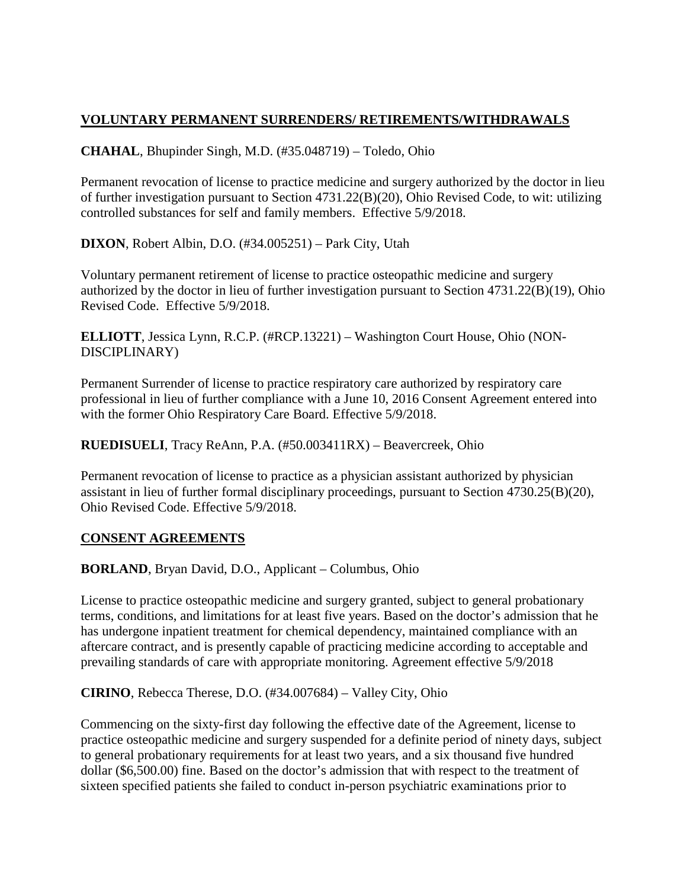## **VOLUNTARY PERMANENT SURRENDERS/ RETIREMENTS/WITHDRAWALS**

**CHAHAL**, Bhupinder Singh, M.D. (#35.048719) – Toledo, Ohio

Permanent revocation of license to practice medicine and surgery authorized by the doctor in lieu of further investigation pursuant to Section 4731.22(B)(20), Ohio Revised Code, to wit: utilizing controlled substances for self and family members. Effective 5/9/2018.

**DIXON**, Robert Albin, D.O. (#34.005251) – Park City, Utah

Voluntary permanent retirement of license to practice osteopathic medicine and surgery authorized by the doctor in lieu of further investigation pursuant to Section 4731.22(B)(19), Ohio Revised Code. Effective 5/9/2018.

**ELLIOTT**, Jessica Lynn, R.C.P. (#RCP.13221) – Washington Court House, Ohio (NON-DISCIPLINARY)

Permanent Surrender of license to practice respiratory care authorized by respiratory care professional in lieu of further compliance with a June 10, 2016 Consent Agreement entered into with the former Ohio Respiratory Care Board. Effective 5/9/2018.

**RUEDISUELI**, Tracy ReAnn, P.A. (#50.003411RX) – Beavercreek, Ohio

Permanent revocation of license to practice as a physician assistant authorized by physician assistant in lieu of further formal disciplinary proceedings, pursuant to Section 4730.25(B)(20), Ohio Revised Code. Effective 5/9/2018.

#### **CONSENT AGREEMENTS**

**BORLAND**, Bryan David, D.O., Applicant – Columbus, Ohio

License to practice osteopathic medicine and surgery granted, subject to general probationary terms, conditions, and limitations for at least five years. Based on the doctor's admission that he has undergone inpatient treatment for chemical dependency, maintained compliance with an aftercare contract, and is presently capable of practicing medicine according to acceptable and prevailing standards of care with appropriate monitoring. Agreement effective 5/9/2018

**CIRINO**, Rebecca Therese, D.O. (#34.007684) – Valley City, Ohio

Commencing on the sixty-first day following the effective date of the Agreement, license to practice osteopathic medicine and surgery suspended for a definite period of ninety days, subject to general probationary requirements for at least two years, and a six thousand five hundred dollar (\$6,500.00) fine. Based on the doctor's admission that with respect to the treatment of sixteen specified patients she failed to conduct in-person psychiatric examinations prior to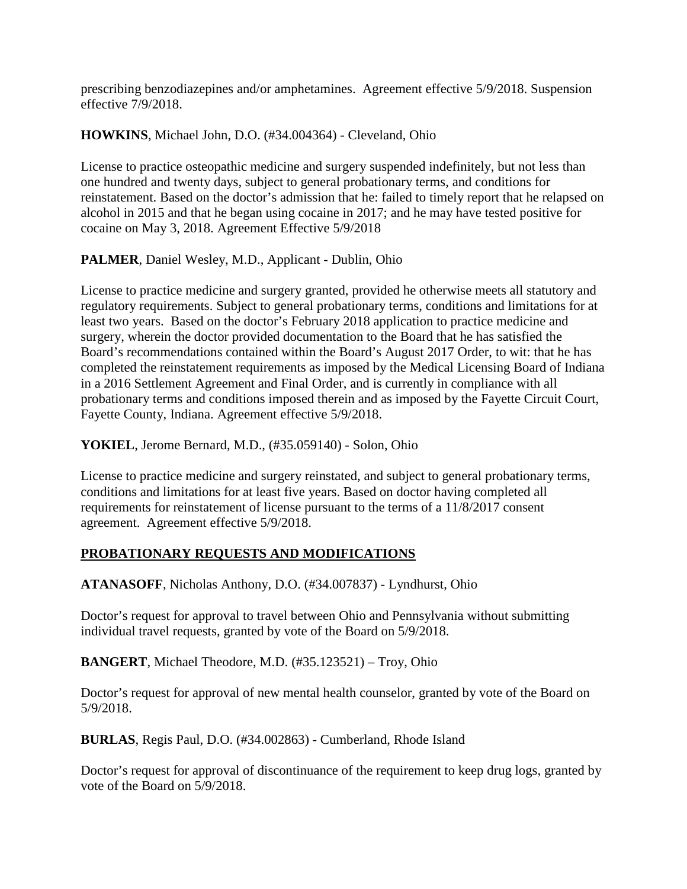prescribing benzodiazepines and/or amphetamines. Agreement effective 5/9/2018. Suspension effective 7/9/2018.

**HOWKINS**, Michael John, D.O. (#34.004364) - Cleveland, Ohio

License to practice osteopathic medicine and surgery suspended indefinitely, but not less than one hundred and twenty days, subject to general probationary terms, and conditions for reinstatement. Based on the doctor's admission that he: failed to timely report that he relapsed on alcohol in 2015 and that he began using cocaine in 2017; and he may have tested positive for cocaine on May 3, 2018. Agreement Effective 5/9/2018

**PALMER**, Daniel Wesley, M.D., Applicant - Dublin, Ohio

License to practice medicine and surgery granted, provided he otherwise meets all statutory and regulatory requirements. Subject to general probationary terms, conditions and limitations for at least two years. Based on the doctor's February 2018 application to practice medicine and surgery, wherein the doctor provided documentation to the Board that he has satisfied the Board's recommendations contained within the Board's August 2017 Order, to wit: that he has completed the reinstatement requirements as imposed by the Medical Licensing Board of Indiana in a 2016 Settlement Agreement and Final Order, and is currently in compliance with all probationary terms and conditions imposed therein and as imposed by the Fayette Circuit Court, Fayette County, Indiana. Agreement effective 5/9/2018.

**YOKIEL**, Jerome Bernard, M.D., (#35.059140) - Solon, Ohio

License to practice medicine and surgery reinstated, and subject to general probationary terms, conditions and limitations for at least five years. Based on doctor having completed all requirements for reinstatement of license pursuant to the terms of a 11/8/2017 consent agreement. Agreement effective 5/9/2018.

# **PROBATIONARY REQUESTS AND MODIFICATIONS**

**ATANASOFF**, Nicholas Anthony, D.O. (#34.007837) - Lyndhurst, Ohio

Doctor's request for approval to travel between Ohio and Pennsylvania without submitting individual travel requests, granted by vote of the Board on 5/9/2018.

**BANGERT**, Michael Theodore, M.D. (#35.123521) – Troy, Ohio

Doctor's request for approval of new mental health counselor, granted by vote of the Board on 5/9/2018.

**BURLAS**, Regis Paul, D.O. (#34.002863) - Cumberland, Rhode Island

Doctor's request for approval of discontinuance of the requirement to keep drug logs, granted by vote of the Board on 5/9/2018.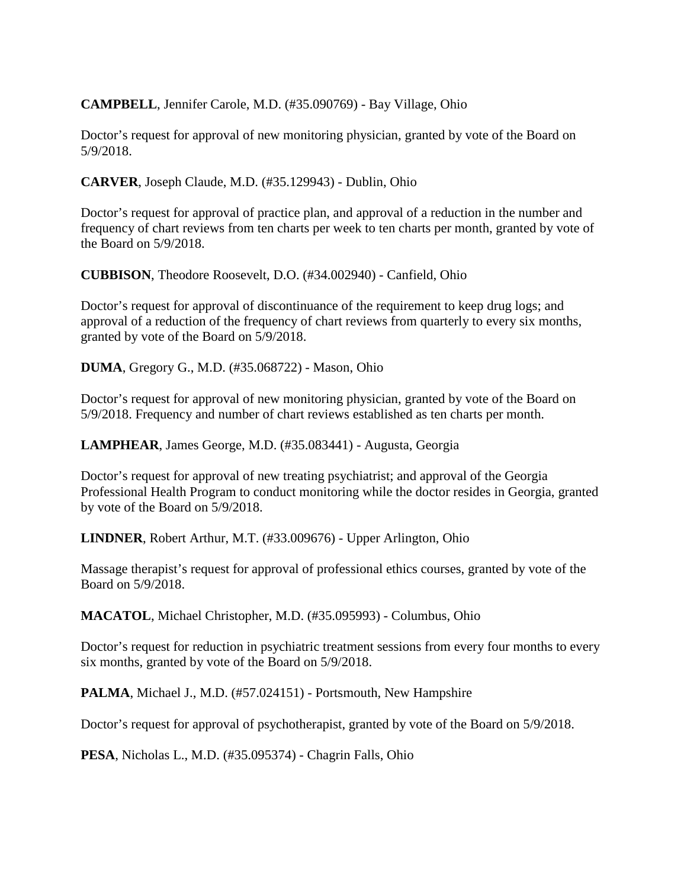**CAMPBELL**, Jennifer Carole, M.D. (#35.090769) - Bay Village, Ohio

Doctor's request for approval of new monitoring physician, granted by vote of the Board on 5/9/2018.

**CARVER**, Joseph Claude, M.D. (#35.129943) - Dublin, Ohio

Doctor's request for approval of practice plan, and approval of a reduction in the number and frequency of chart reviews from ten charts per week to ten charts per month, granted by vote of the Board on 5/9/2018.

**CUBBISON**, Theodore Roosevelt, D.O. (#34.002940) - Canfield, Ohio

Doctor's request for approval of discontinuance of the requirement to keep drug logs; and approval of a reduction of the frequency of chart reviews from quarterly to every six months, granted by vote of the Board on 5/9/2018.

**DUMA**, Gregory G., M.D. (#35.068722) - Mason, Ohio

Doctor's request for approval of new monitoring physician, granted by vote of the Board on 5/9/2018. Frequency and number of chart reviews established as ten charts per month.

**LAMPHEAR**, James George, M.D. (#35.083441) - Augusta, Georgia

Doctor's request for approval of new treating psychiatrist; and approval of the Georgia Professional Health Program to conduct monitoring while the doctor resides in Georgia, granted by vote of the Board on 5/9/2018.

**LINDNER**, Robert Arthur, M.T. (#33.009676) - Upper Arlington, Ohio

Massage therapist's request for approval of professional ethics courses, granted by vote of the Board on 5/9/2018.

**MACATOL**, Michael Christopher, M.D. (#35.095993) - Columbus, Ohio

Doctor's request for reduction in psychiatric treatment sessions from every four months to every six months, granted by vote of the Board on 5/9/2018.

**PALMA**, Michael J., M.D. (#57.024151) - Portsmouth, New Hampshire

Doctor's request for approval of psychotherapist, granted by vote of the Board on 5/9/2018.

**PESA**, Nicholas L., M.D. (#35.095374) - Chagrin Falls, Ohio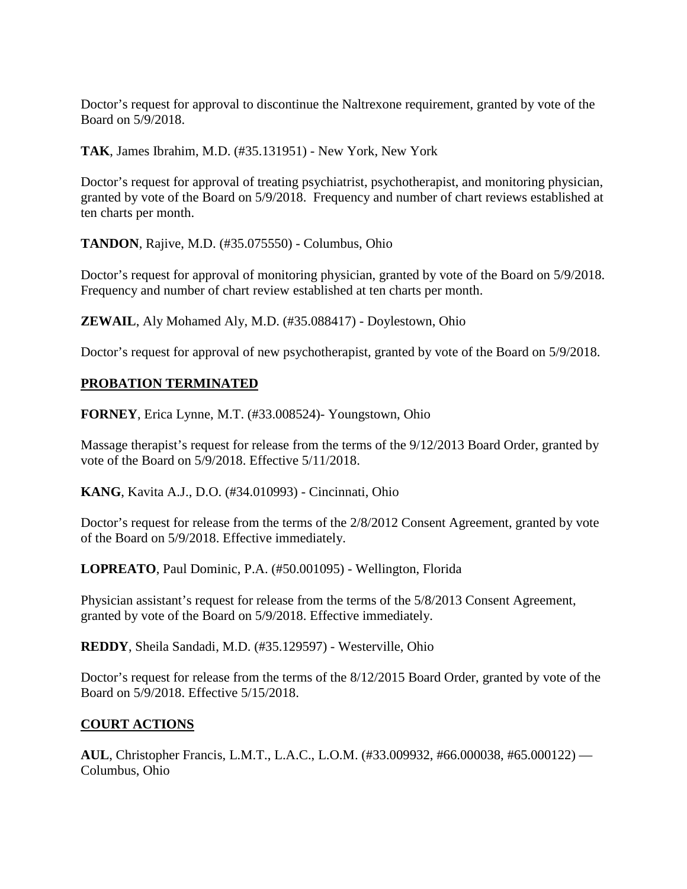Doctor's request for approval to discontinue the Naltrexone requirement, granted by vote of the Board on 5/9/2018.

**TAK**, James Ibrahim, M.D. (#35.131951) - New York, New York

Doctor's request for approval of treating psychiatrist, psychotherapist, and monitoring physician, granted by vote of the Board on 5/9/2018. Frequency and number of chart reviews established at ten charts per month.

**TANDON**, Rajive, M.D. (#35.075550) - Columbus, Ohio

Doctor's request for approval of monitoring physician, granted by vote of the Board on 5/9/2018. Frequency and number of chart review established at ten charts per month.

**ZEWAIL**, Aly Mohamed Aly, M.D. (#35.088417) - Doylestown, Ohio

Doctor's request for approval of new psychotherapist, granted by vote of the Board on 5/9/2018.

#### **PROBATION TERMINATED**

**FORNEY**, Erica Lynne, M.T. (#33.008524)- Youngstown, Ohio

Massage therapist's request for release from the terms of the 9/12/2013 Board Order, granted by vote of the Board on 5/9/2018. Effective 5/11/2018.

**KANG**, Kavita A.J., D.O. (#34.010993) - Cincinnati, Ohio

Doctor's request for release from the terms of the 2/8/2012 Consent Agreement, granted by vote of the Board on 5/9/2018. Effective immediately.

**LOPREATO**, Paul Dominic, P.A. (#50.001095) - Wellington, Florida

Physician assistant's request for release from the terms of the 5/8/2013 Consent Agreement, granted by vote of the Board on 5/9/2018. Effective immediately.

**REDDY**, Sheila Sandadi, M.D. (#35.129597) - Westerville, Ohio

Doctor's request for release from the terms of the 8/12/2015 Board Order, granted by vote of the Board on 5/9/2018. Effective 5/15/2018.

#### **COURT ACTIONS**

**AUL**, Christopher Francis, L.M.T., L.A.C., L.O.M. (#33.009932, #66.000038, #65.000122) — Columbus, Ohio